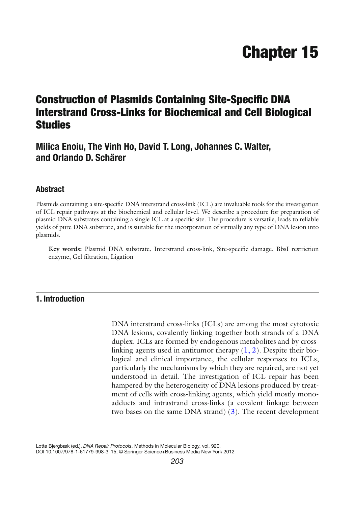# **Chapter 15**

# **Construction of Plasmids Containing Site-Specific DNA Interstrand Cross-Links for Biochemical and Cell Biological Studies**

# **Milica Enoiu, The Vinh Ho, David T. Long, Johannes C. Walter, and Orlando D. Schärer**

# **Abstract**

Plasmids containing a site-specific DNA interstrand cross-link (ICL) are invaluable tools for the investigation of ICL repair pathways at the biochemical and cellular level. We describe a procedure for preparation of plasmid DNA substrates containing a single ICL at a specific site. The procedure is versatile, leads to reliable yields of pure DNA substrate, and is suitable for the incorporation of virtually any type of DNA lesion into plasmids.

Key words: Plasmid DNA substrate, Interstrand cross-link, Site-specific damage, BbsI restriction enzyme, Gel filtration, Ligation

# **1. Introduction**

DNA interstrand cross-links (ICLs) are among the most cytotoxic DNA lesions, covalently linking together both strands of a DNA duplex. ICLs are formed by endogenous metabolites and by crosslinking agents used in antitumor therapy  $(1, 2)$ . Despite their biological and clinical importance, the cellular responses to ICLs, particularly the mechanisms by which they are repaired, are not yet understood in detail. The investigation of ICL repair has been hampered by the heterogeneity of DNA lesions produced by treatment of cells with cross-linking agents, which yield mostly monoadducts and intrastrand cross-links (a covalent linkage between two bases on the same DNA strand)  $(3)$ . The recent development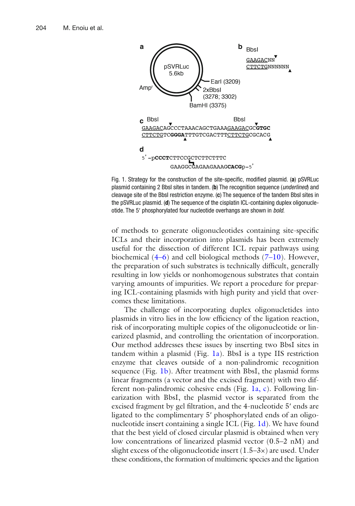<span id="page-1-0"></span>

Fig. 1. Strategy for the construction of the site-specific, modified plasmid. (a) pSVRLuc plasmid containing 2 BbsI sites in tandem. ( **b** ) The recognition sequence ( *underlined* ) and cleavage site of the BbsI restriction enzyme. (c) The sequence of the tandem BbsI sites in the pSVRLuc plasmid. (d) The sequence of the cisplatin ICL-containing duplex oligonucleotide. The 5' phosphorylated four nucleotide overhangs are shown in *bold*.

of methods to generate oligonucleotides containing site-specific ICLs and their incorporation into plasmids has been extremely useful for the dissection of different ICL repair pathways using biochemical  $(4-6)$  and cell biological methods  $(7-10)$ . However, the preparation of such substrates is technically difficult, generally resulting in low yields or nonhomogenous substrates that contain varying amounts of impurities. We report a procedure for preparing ICL-containing plasmids with high purity and yield that overcomes these limitations.

The challenge of incorporating duplex oligonucletides into plasmids in vitro lies in the low efficiency of the ligation reaction, risk of incorporating multiple copies of the oligonucleotide or linearized plasmid, and controlling the orientation of incorporation. Our method addresses these issues by inserting two BbsI sites in tandem within a plasmid (Fig. 1a). BbsI is a type IIS restriction enzyme that cleaves outside of a non-palindromic recognition sequence (Fig. 1b). After treatment with BbsI, the plasmid forms linear fragments (a vector and the excised fragment) with two different non-palindromic cohesive ends (Fig. 1a, c). Following linearization with BbsI, the plasmid vector is separated from the excised fragment by gel filtration, and the 4-nucleotide 5' ends are ligated to the complimentary 5' phosphorylated ends of an oligonucleotide insert containing a single ICL (Fig. 1d). We have found that the best yield of closed circular plasmid is obtained when very low concentrations of linearized plasmid vector (0.5–2 nM) and slight excess of the oligonucleotide insert  $(1.5-3x)$  are used. Under these conditions, the formation of multimeric species and the ligation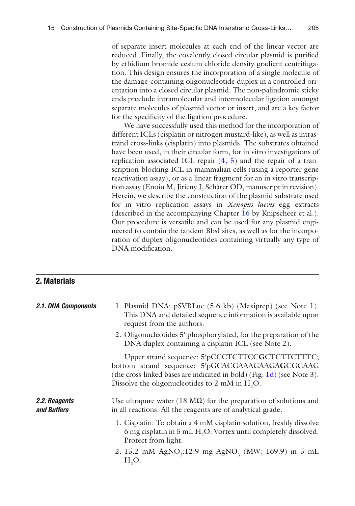<span id="page-2-0"></span>of separate insert molecules at each end of the linear vector are reduced. Finally, the covalently closed circular plasmid is purified by ethidium bromide cesium chloride density gradient centrifugation. This design ensures the incorporation of a single molecule of the damage-containing oligonucleotide duplex in a controlled orientation into a closed circular plasmid. The non-palindromic sticky ends preclude intramolecular and intermolecular ligation amongst separate molecules of plasmid vector or insert, and are a key factor for the specificity of the ligation procedure.

We have successfully used this method for the incorporation of different ICLs (cisplatin or nitrogen mustard-like), as well as intrastrand cross-links (cisplatin) into plasmids. The substrates obtained have been used, in their circular form, for in vitro investigations of replication-associated ICL repair  $(4, 5)$  and the repair of a transcription-blocking ICL in mammalian cells (using a reporter gene reactivation assay), or as a linear fragment for an in vitro transcription assay (Enoiu M, Jiricny J, Schärer OD, manuscript in revision). Herein, we describe the construction of the plasmid substrate used for in vitro replication assays in *Xenopus laevis* egg extracts (described in the accompanying Chapter [16](http://dx.doi.org/10.1007/978-1-61779-998-3_16) by Knipscheer et al.). Our procedure is versatile and can be used for any plasmid engineered to contain the tandem BbsI sites, as well as for the incorporation of duplex oligonucleotides containing virtually any type of DNA modification.

# **2. Materials**

| 2.1. DNA Components          | 1. Plasmid DNA: pSVRLuc (5.6 kb) (Maxiprep) (see Note 1).<br>This DNA and detailed sequence information is available upon<br>request from the authors.                                                                                     |
|------------------------------|--------------------------------------------------------------------------------------------------------------------------------------------------------------------------------------------------------------------------------------------|
|                              | 2. Oligonucleotides 5' phosphorylated, for the preparation of the<br>DNA duplex containing a cisplatin ICL (see Note 2).                                                                                                                   |
|                              | Upper strand sequence: 5'pCCCTCTTCCGCTCTTCTTTC;<br>bottom strand sequence: 5'pGCACGAAAGAAGAGCGGAAG<br>(the cross-linked bases are indicated in bold) (Fig. 1d) (see Note 3).<br>Dissolve the oligonucleotides to 2 mM in H <sub>2</sub> O. |
| 2.2. Reagents<br>and Buffers | Use ultrapure water (18 $\text{M}\Omega$ ) for the preparation of solutions and<br>in all reactions. All the reagents are of analytical grade.                                                                                             |
|                              | 1. Cisplatin: To obtain a 4 mM cisplatin solution, freshly dissolve<br>6 mg cisplatin in 5 mL H <sub>2</sub> O. Vortex until completely dissolved.<br>Protect from light.                                                                  |
|                              | 2. 15.2 mM AgNO <sub>3</sub> :12.9 mg AgNO <sub>3</sub> (MW: 169.9) in 5 mL<br>$H2O$ .                                                                                                                                                     |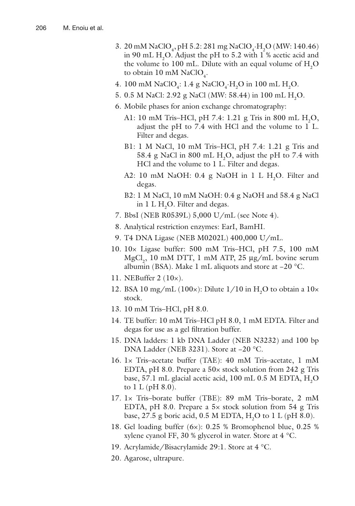- 3. 20 mM NaClO<sub>4</sub>, pH 5.2: 281 mg NaClO<sub>4</sub>.H<sub>2</sub>O (MW: 140.46) in 90 mL  $H_2O$ . Adjust the pH to 5.2 with 1 % acetic acid and the volume to 100 mL. Dilute with an equal volume of  $H_2O$ to obtain  $10 \text{ mM NaClO}_4$ .
- 4. 100 mM NaClO<sub>4</sub>: 1.4 g NaClO<sub>4</sub>·H<sub>2</sub>O in 100 mL H<sub>2</sub>O.
- 5. 0.5 M NaCl: 2.92 g NaCl (MW: 58.44) in 100 mL H<sub>2</sub>O.
	- 6. Mobile phases for anion exchange chromatography:
		- A1: 10 mM Tris–HCl, pH 7.4: 1.21 g Tris in 800 mL  $H_2O$ , adjust the pH to 7.4 with HCl and the volume to 1 L. Filter and degas.
		- B1: 1 M NaCl, 10 mM Tris–HCl, pH 7.4: 1.21 g Tris and 58.4 g NaCl in 800 mL  $H_2O$ , adjust the pH to 7.4 with HCl and the volume to 1 L. Filter and degas.
		- A2: 10 mM NaOH: 0.4 g NaOH in 1 L  $H_2O$ . Filter and degas.
		- B2: 1 M NaCl, 10 mM NaOH: 0.4 g NaOH and 58.4 g NaCl in  $1 L H_2O$ . Filter and degas.
	- 7. BbsI (NEB R0539L) 5,000 U/mL (see Note 4).
	- 8. Analytical restriction enzymes: EarI, BamHI.
	- 9. T4 DNA Ligase (NEB M0202L) 400,000 U/mL.
- 10. 10× Ligase buffer: 500 mM Tris–HCl, pH 7.5, 100 mM  $MgCl<sub>2</sub>$ , 10 mM DTT, 1 mM ATP, 25  $\mu$ g/mL bovine serum albumin (BSA). Make 1 mL aliquots and store at −20 °C.
- 11. NEBuffer 2 (10×).
- 12. BSA 10 mg/mL (100 $\times$ ): Dilute 1/10 in H<sub>2</sub>O to obtain a 10 $\times$ stock.
- 13. 10 mM Tris–HCl, pH 8.0.
- 14. TE buffer: 10 mM Tris–HCl pH 8.0, 1 mM EDTA. Filter and degas for use as a gel filtration buffer.
- 15. DNA ladders: 1 kb DNA Ladder (NEB N3232) and 100 bp DNA Ladder (NEB 3231). Store at −20 °C.
- 16. 1× Tris–acetate buffer (TAE): 40 mM Tris–acetate, 1 mM EDTA, pH 8.0. Prepare a 50× stock solution from 242 g Tris base, 57.1 mL glacial acetic acid,  $100$  mL 0.5 M EDTA,  $\mathrm{H}_{2}\mathrm{O}$ to  $1 L (pH 8.0)$ .
- 17. 1× Tris–borate buffer (TBE): 89 mM Tris–borate, 2 mM EDTA, pH 8.0. Prepare a  $5\times$  stock solution from  $54 \text{ g}$  Tris base, 27.5 g boric acid, 0.5 M EDTA,  $H_2O$  to 1 L (pH 8.0).
- 18. Gel loading buffer (6×): 0.25 % Bromophenol blue, 0.25 % xylene cyanol FF, 30 % glycerol in water. Store at 4 °C.
- 19. Acrylamide/Bisacrylamide 29:1. Store at 4 °C.
- 20. Agarose, ultrapure.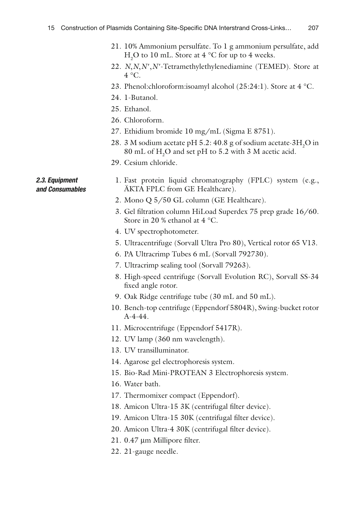- 21. 10% Ammonium persulfate. To 1 g ammonium persulfate, add  $H<sub>2</sub>O$  to 10 mL. Store at 4 °C for up to 4 weeks.
- 22. *N*, *N*, *N'*, *N'*-Tetramethylethylenediamine (TEMED). Store at  $4^{\circ}C$ .
- 23. Phenol:chloroform:isoamyl alcohol (25:24:1). Store at 4 °C.
- 24. 1-Butanol.
- 25. Ethanol.
- 26. Chloroform.
- 27. Ethidium bromide 10 mg/mL (Sigma E 8751).
- 28. 3 M sodium acetate pH 5.2: 40.8 g of sodium acetate  $3H_2O$  in  $80 \text{ mL of } H_2O$  and set pH to 5.2 with 3 M acetic acid.
- 29. Cesium chloride.

#### *2.3. Equipment and Consumables*

- 1. Fast protein liquid chromatography(FPLC) system (e.g., ÄKTA FPLC from GE Healthcare).
- 2. Mono Q 5/50 GL column (GE Healthcare).
- 3. Gel filtration column HiLoad Superdex 75 prep grade 16/60. Store in 20 % ethanol at 4 °C.
- 4. UV spectrophotometer.
- 5. Ultracentrifuge (Sorvall Ultra Pro 80), Vertical rotor 65 V13.
- 6. PA Ultracrimp Tubes 6 mL (Sorvall 792730).
- 7. Ultracrimp sealing tool (Sorvall 79263).
- 8. High-speed centrifuge (Sorvall Evolution RC), Sorvall SS-34 fixed angle rotor.
- 9. Oak Ridge centrifuge tube (30 mL and 50 mL).
- 10. Bench-top centrifuge (Eppendorf 5804R), Swing-bucket rotor A-4-44.
- 11. Microcentrifuge (Eppendorf 5417R).
- 12. UV lamp (360 nm wavelength).
- 13. UV transilluminator.
- 14. Agarose gel electrophoresis system.
- 15. Bio-Rad Mini-PROTEAN 3 Electrophoresis system.
- 16. Water bath.
- 17. Thermomixer compact (Eppendorf).
- 18. Amicon Ultra-15 3K (centrifugal filter device).
- 19. Amicon Ultra-15 30K (centrifugal filter device).
- 20. Amicon Ultra-4 30K (centrifugal filter device).
- $21.0.47 \mu m$  Millipore filter.
- 22. 21-gauge needle.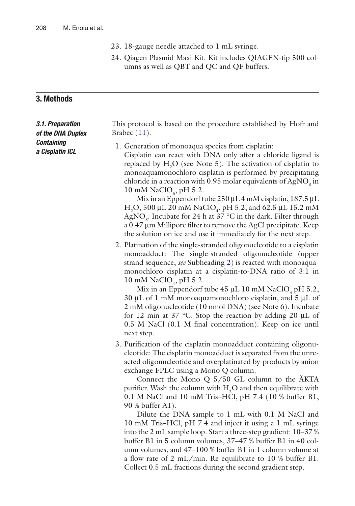- 23. 18-gauge needle attached to 1 mL syringe.
- 24. Qiagen Plasmid Maxi Kit. Kit includes QIAGEN-tip 500 columns as well as QBT and QC and QF buffers.

# **3. Methods**

| 3.1. Preparation<br>of the DNA Duplex<br><b>Containing</b><br>a Cisplatin ICL | This protocol is based on the procedure established by Hofr and<br>Brabec $(11)$ .                                                                                                                                                                                                                                                                                                                                                                                                                                                                                                                                                                                                                                                                                 |
|-------------------------------------------------------------------------------|--------------------------------------------------------------------------------------------------------------------------------------------------------------------------------------------------------------------------------------------------------------------------------------------------------------------------------------------------------------------------------------------------------------------------------------------------------------------------------------------------------------------------------------------------------------------------------------------------------------------------------------------------------------------------------------------------------------------------------------------------------------------|
|                                                                               | 1. Generation of monoaqua species from cisplatin:<br>Cisplatin can react with DNA only after a chloride ligand is<br>replaced by $H2O$ (see Note 5). The activation of cisplatin to<br>monoaquamonochloro cisplatin is performed by precipitating<br>chloride in a reaction with 0.95 molar equivalents of AgNO <sub>3</sub> in<br>10 mM NaClO <sub>4</sub> , pH 5.2.<br>Mix in an Eppendorf tube $250 \mu L 4$ mM cisplatin, 187.5 $\mu L$<br>H <sub>2</sub> O, 500 µL 20 mM NaClO <sub>4</sub> , pH 5.2, and 62.5 µL 15.2 mM<br>AgNO <sub>3</sub> . Incubate for 24 h at 37 $\mathrm{^{\circ}C}$ in the dark. Filter through<br>a 0.47 µm Millipore filter to remove the AgCl precipitate. Keep<br>the solution on ice and use it immediately for the next step. |
|                                                                               | 2. Platination of the single-stranded oligonucleotide to a cisplatin<br>monoadduct: The single-stranded oligonucleotide (upper<br>strand sequence, see Subheading 2) is reacted with monoaqua-<br>monochloro cisplatin at a cisplatin-to-DNA ratio of 3:1 in<br>10 mM NaClO <sub>4</sub> , pH 5.2.<br>$M_{\rm W}$ in an Ennealorf tube 45 uL 10 mM NeClO nH $\bar{5}$ 2                                                                                                                                                                                                                                                                                                                                                                                            |

Mix in an Eppendorf tube  $45 \mu L$  10 mM NaClO<sub>4</sub> pH 5.2, 30 μL of 1 mM monoaquamonochloro cisplatin, and 5 μL of 2 mM oligonucleotide (10 nmol DNA) (see Note 6). Incubate for 12 min at 37 °C. Stop the reaction by adding 20 μL of  $0.5$  M NaCl  $(0.1$  M final concentration). Keep on ice until next step.

3. Purification of the cisplatin monoadduct containing oligonucleotide: The cisplatin monoadduct is separated from the unreacted oligonucleotide and overplatinated by-products by anion exchange FPLC using a Mono Q column.

Connect the Mono  $Q_{5}/50$  GL column to the AKTA purifier. Wash the column with  $H_2O$  and then equilibrate with 0.1 M NaCl and 10 mM Tris–HCl, pH 7.4 (10 % buffer B1, 90 % buffer A1).

Dilute the DNA sample to 1 mL with 0.1 M NaCl and 10 mM Tris–HCl, pH 7.4 and inject it using a 1 mL syringe into the 2 mL sample loop. Start a three-step gradient: 10–37 % buffer B1 in 5 column volumes, 37–47 % buffer B1 in 40 column volumes, and 47–100 % buffer B1 in 1 column volume at a flow rate of  $2 \text{ mL/min}$ . Re-equilibrate to 10 % buffer B1. Collect 0.5 mL fractions during the second gradient step.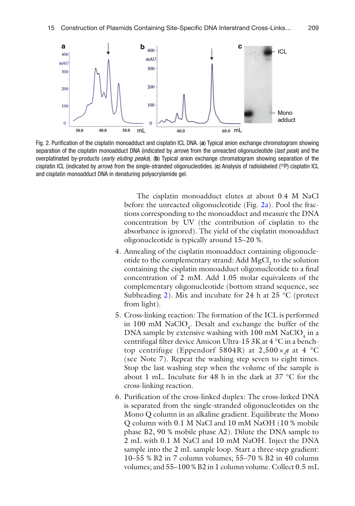<span id="page-6-0"></span>

Fig. 2. Purification of the cisplatin monoadduct and cisplatin ICL DNA. (a) Typical anion exchange chromatogram showing separation of the cisplatin monoadduct DNA (indicated by *arrow*) from the unreacted oligonucleotide (*last peak*) and the overplatinated by-products (early eluting peaks). (b) Typical anion exchange chromatogram showing separation of the cisplatin ICL (indicated by *arrow*) from the single-stranded oligonucleotides. (c) Analysis of radiolabeled (<sup>32</sup>P) cisplatin ICL and cisplatin monoadduct DNA in denaturing polyacrylamide gel.

The cisplatin monoadduct elutes at about 0.4 M NaCl before the unreacted oligonucleotide (Fig.  $2a$ ). Pool the fractions corresponding to the monoadduct and measure the DNA concentration by UV (the contribution of cisplatin to the absorbance is ignored). The yield of the cisplatin monoadduct oligonucleotide is typically around 15–20 %.

- 4. Annealing of the cisplatin monoadduct containing oligonucleotide to the complementary strand:  $\text{Add } \text{MgCl}_2$  to the solution containing the cisplatin monoadduct oligonucleotide to a final concentration of 2 mM. Add 1.05 molar equivalents of the complementary oligonucleotide (bottom strand sequence, see Subheading [2\)](#page-2-0). Mix and incubate for 24 h at 25  $^{\circ}$ C (protect from light).
- 5. Cross-linking reaction: The formation of the ICL is performed in 100 mM  $NaClO<sub>4</sub>$ . Desalt and exchange the buffer of the DNA sample by extensive washing with  $100 \text{ mM NaClO}_4$  in a centrifugal filter device Amicon Ultra-15 3K at 4 °C in a benchtop centrifuge (Eppendorf 5804R) at  $2,500 \times g$  at 4 °C (see Note 7). Repeat the washing step seven to eight times. Stop the last washing step when the volume of the sample is about 1 mL. Incubate for 48 h in the dark at 37 °C for the cross-linking reaction.
- 6. Purification of the cross-linked duplex: The cross-linked DNA is separated from the single-stranded oligonucleotides on the Mono Q column in an alkaline gradient. Equilibrate the Mono Q column with 0.1 M NaCl and 10 mM NaOH (10 % mobile phase B2, 90 % mobile phase A2). Dilute the DNA sample to 2 mL with 0.1 M NaCl and 10 mM NaOH. Inject the DNA sample into the 2 mL sample loop. Start a three-step gradient: 10–55 % B2 in 7 column volumes; 55–70 % B2 in 40 column volumes; and 55–100 % B2 in 1 column volume. Collect 0.5 mL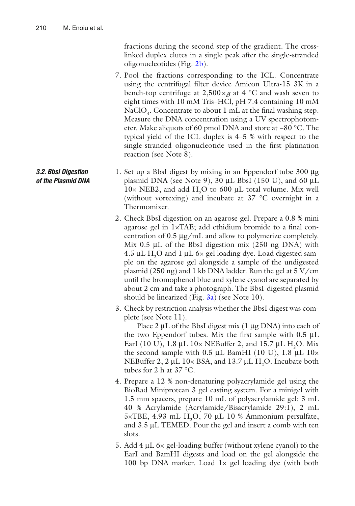fractions during the second step of the gradient. The crosslinked duplex elutes in a single peak after the single-stranded oligonucleotides (Fig. [2b](#page-6-0)).

- 7. Pool the fractions corresponding to the ICL. Concentrate using the centrifugal filter device Amicon Ultra-15 3K in a bench-top centrifuge at  $2,500 \times g$  at 4 °C and wash seven to eight times with 10 mM Tris–HCl, pH 7.4 containing 10 mM NaClO<sub>4</sub>. Concentrate to about 1 mL at the final washing step. Measure the DNA concentration using a UV spectrophotometer. Make aliquots of 60 pmol DNA and store at −80 °C. The typical yield of the ICL duplex is 4–5 % with respect to the single-stranded oligonucleotide used in the first platination reaction (see Note 8).
- 1. Set up a BbsI digest by mixing in an Eppendorf tube 300 μg plasmid DNA (see Note 9),  $30 \mu L$  BbsI (150 U), and 60  $\mu L$  $10\times$  NEB2, and add  $H<sub>2</sub>O$  to 600 µL total volume. Mix well (without vortexing) and incubate at 37 °C overnight in a Thermomixer.
	- 2. Check BbsI digestion on an agarose gel. Prepare a 0.8 % mini agarose gel in  $1 \times TAE$ ; add ethidium bromide to a final concentration of 0.5 μg/mL and allow to polymerize completely. Mix  $0.5 \mu L$  of the BbsI digestion mix (250 ng DNA) with 4.5 μL H<sub>2</sub>O and 1 μL 6× gel loading dye. Load digested sample on the agarose gel alongside a sample of the undigested plasmid (250 ng) and 1 kb DNA ladder. Run the gel at  $5 \text{ V/cm}$ until the bromophenol blue and xylene cyanol are separated by about 2 cm and take a photograph. The BbsI-digested plasmid should be linearized (Fig.  $3a$ ) (see Note 10).
	- 3. Check by restriction analysis whether the BbsI digest was complete (see Note 11).

Place 2 μL of the BbsI digest mix (1 μg DNA) into each of the two Eppendorf tubes. Mix the first sample with  $0.5 \mu L$ EarI (10 U), 1.8  $\mu$ L 10× NEBuffer 2, and 15.7  $\mu$ L H<sub>2</sub>O. Mix the second sample with 0.5 μL BamHI (10 U), 1.8 μL  $10 \times$ NEBuffer 2, 2  $\mu$ L 10× BSA, and 13.7  $\mu$ L H<sub>2</sub>O. Incubate both tubes for 2 h at 37 °C.

- 4. Prepare a 12 % non-denaturing polyacrylamide gel using the BioRad Miniprotean 3 gel casting system. For a minigel with 1.5 mm spacers, prepare 10 mL of polyacrylamide gel: 3 mL 40 % Acrylamide (Acrylamide/Bisacrylamide 29:1), 2 mL  $5 \times TBE$ , 4.93 mL H<sub>2</sub>O, 70 µL 10 % Ammonium persulfate, and 3.5 μL TEMED. Pour the gel and insert a comb with ten slots.
- 5. Add 4 μL 6× gel-loading buffer (without xylene cyanol) to the EarI and BamHI digests and load on the gel alongside the 100 bp DNA marker. Load  $1 \times$  gel loading dye (with both

#### *3.2. BbsI Digestion of the Plasmid DNA*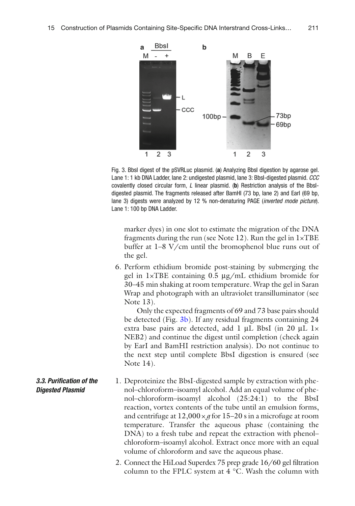<span id="page-8-0"></span>

Fig. 3. BbsI digest of the pSVRLuc plasmid. (a) Analyzing BbsI digestion by agarose gel. Lane 1: 1 kb DNA Ladder, lane 2: undigested plasmid, lane 3: BbsI-digested plasmid. *CCC* covalently closed circular form, *L* linear plasmid. ( **b** ) Restriction analysis of the BbsIdigested plasmid. The fragments released after BamHI (73 bp, lane 2) and EarI (69 bp, lane 3) digests were analyzed by 12 % non-denaturing PAGE (*inverted mode picture*). Lane 1: 100 bp DNA Ladder.

marker dyes) in one slot to estimate the migration of the DNA fragments during the run (see Note 12). Run the gel in  $1 \times TBE$ buffer at 1–8 V/cm until the bromophenol blue runs out of the gel.

 6. Perform ethidium bromide post-staining by submerging the gel in 1×TBE containing 0.5 μg/mL ethidium bromide for 30–45 min shaking at room temperature. Wrap the gel in Saran Wrap and photograph with an ultraviolet transilluminator (see Note 13).

Only the expected fragments of 69 and 73 base pairs should be detected (Fig. 3b). If any residual fragments containing 24 extra base pairs are detected, add 1 μL BbsI (in 20 μL 1× NEB2) and continue the digest until completion (check again by EarI and BamHI restriction analysis). Do not continue to the next step until complete BbsI digestion is ensured (see Note 14).

- 1. Deproteinize the BbsI-digested sample by extraction with phenol–chloroform–isoamyl alcohol. Add an equal volume of phenol–chloroform–isoamyl alcohol (25:24:1) to the BbsI reaction, vortex contents of the tube until an emulsion forms, and centrifuge at  $12,000 \times g$  for  $15-20$  s in a microfuge at room temperature. Transfer the aqueous phase (containing the DNA) to a fresh tube and repeat the extraction with phenol– chloroform–isoamyl alcohol. Extract once more with an equal volume of chloroform and save the aqueous phase.  *3.3. Puri fi cation of the Digested Plasmid*
	- 2. Connect the HiLoad Superdex 75 prep grade 16/60 gel filtration column to the FPLC system at 4 °C. Wash the column with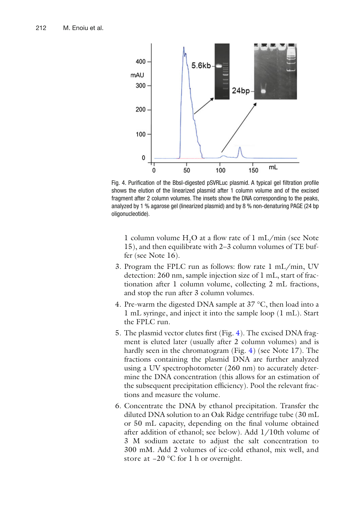<span id="page-9-0"></span>

Fig. 4. Purification of the BbsI-digested pSVRLuc plasmid. A typical gel filtration profile shows the elution of the linearized plasmid after 1 column volume and of the excised fragment after 2 column volumes. The insets show the DNA corresponding to the peaks, analyzed by 1 % agarose gel (linearized plasmid) and by 8 % non-denaturing PAGE (24 bp oligonucleotide).

1 column volume  $H_2O$  at a flow rate of 1 mL/min (see Note 15), and then equilibrate with 2–3 column volumes of TE buffer (see Note 16).

- 3. Program the FPLC run as follows: flow rate  $1 \text{ mL/min}$ , UV detection: 260 nm, sample injection size of 1 mL, start of fractionation after 1 column volume, collecting 2 mL fractions, and stop the run after 3 column volumes.
- 4. Pre-warm the digested DNA sample at 37 °C, then load into a 1 mL syringe, and inject it into the sample loop (1 mL). Start the FPLC run.
- 5. The plasmid vector elutes first (Fig. 4). The excised DNA fragment is eluted later (usually after 2 column volumes) and is hardly seen in the chromatogram (Fig. 4) (see Note 17). The fractions containing the plasmid DNA are further analyzed using a UV spectrophotometer (260 nm) to accurately determine the DNA concentration (this allows for an estimation of the subsequent precipitation efficiency). Pool the relevant fractions and measure the volume.
- 6. Concentrate the DNA by ethanol precipitation. Transfer the diluted DNA solution to an Oak Ridge centrifuge tube (30 mL or 50 mL capacity, depending on the final volume obtained after addition of ethanol; see below). Add 1/10th volume of 3 M sodium acetate to adjust the salt concentration to 300 mM. Add 2 volumes of ice-cold ethanol, mix well, and store at −20 °C for 1 h or overnight.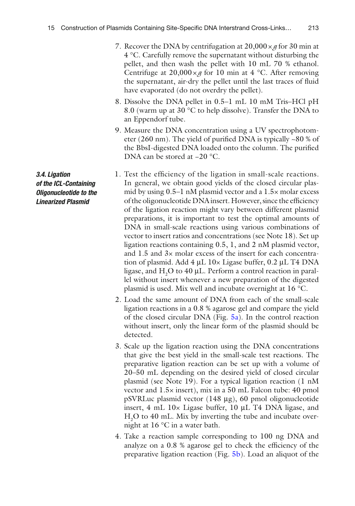- <span id="page-10-0"></span>7. Recover the DNA by centrifugation at  $20,000 \times g$  for 30 min at 4 °C. Carefully remove the supernatant without disturbing the pellet, and then wash the pellet with 10 mL 70 % ethanol. Centrifuge at  $20,000 \times g$  for 10 min at 4 °C. After removing the supernatant, air-dry the pellet until the last traces of fluid have evaporated (do not overdry the pellet).
- 8. Dissolve the DNA pellet in 0.5–1 mL 10 mM Tris–HCl pH 8.0 (warm up at 30 °C to help dissolve). Transfer the DNA to an Eppendorf tube.
- 9. Measure the DNA concentration using a UV spectrophotometer (260 nm). The yield of purified DNA is typically  $\sim80$  % of the BbsI-digested DNA loaded onto the column. The purified DNA can be stored at −20 °C.
- 1. Test the efficiency of the ligation in small-scale reactions. In general, we obtain good yields of the closed circular plasmid by using 0.5–1 nM plasmid vector and a 1.5× molar excess of the oligonucleotide DNA insert. However, since the efficiency of the ligation reaction might vary between different plasmid preparations, it is important to test the optimal amounts of DNA in small-scale reactions using various combinations of vector to insert ratios and concentrations (see Note 18). Set up ligation reactions containing 0.5, 1, and 2 nM plasmid vector, and 1.5 and 3× molar excess of the insert for each concentration of plasmid. Add 4 μL 10× Ligase buffer, 0.2 μL T4 DNA ligase, and  $\rm{H}_{2}O$  to  $40$   $\rm{\mu}$ L. Perform a control reaction in parallel without insert whenever a new preparation of the digested plasmid is used. Mix well and incubate overnight at 16 °C.
- 2. Load the same amount of DNA from each of the small-scale ligation reactions in a 0.8 % agarose gel and compare the yield of the closed circular DNA (Fig. [5a\)](#page-11-0). In the control reaction without insert, only the linear form of the plasmid should be detected.
- 3. Scale up the ligation reaction using the DNA concentrations that give the best yield in the small-scale test reactions. The preparative ligation reaction can be set up with a volume of 20–50 mL depending on the desired yield of closed circular plasmid (see Note 19). For a typical ligation reaction (1 nM vector and 1.5× insert), mix in a 50 mL Falcon tube: 40 pmol pSVRLuc plasmid vector (148 μg), 60 pmol oligonucleotide insert, 4 mL 10× Ligase buffer, 10 μL T4 DNA ligase, and  $H_2$ O to 40 mL. Mix by inverting the tube and incubate overnight at 16 °C in a water bath.
- 4. Take a reaction sample corresponding to 100 ng DNA and analyze on a  $0.8$  % agarose gel to check the efficiency of the preparative ligation reaction (Fig.  $5b$ ). Load an aliquot of the

 *3.4. Ligation of the ICL-Containing Oligonucleotide to the Linearized Plasmid*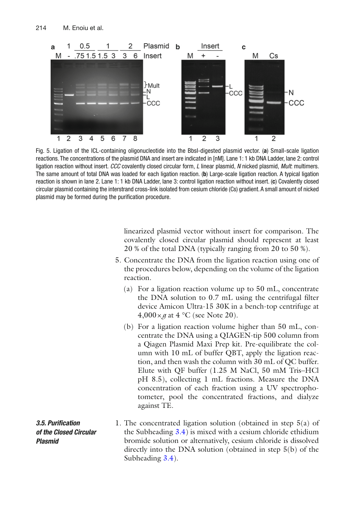<span id="page-11-0"></span>

 Fig. 5. Ligation of the ICL-containing oligonucleotide into the BbsI-digested plasmid vector. ( **a** ) Small-scale ligation reactions. The concentrations of the plasmid DNA and insert are indicated in [nM]. Lane 1: 1 kb DNA Ladder, lane 2: control ligation reaction without insert. *CCC* covalently closed circular form, *L* linear plasmid, *N* nicked plasmid, *Mult*: multimers. The same amount of total DNA was loaded for each ligation reaction. ( **b** ) Large-scale ligation reaction. A typical ligation reaction is shown in lane 2. Lane 1: 1 kb DNA Ladder, lane 3: control ligation reaction without insert. (c) Covalently closed circular plasmid containing the interstrand cross-link isolated from cesium chloride (Cs) gradient. A small amount of nicked plasmid may be formed during the purification procedure.

linearized plasmid vector without insert for comparison. The covalently closed circular plasmid should represent at least 20 % of the total DNA (typically ranging from 20 to 50 %).

- 5. Concentrate the DNA from the ligation reaction using one of the procedures below, depending on the volume of the ligation reaction.
	- (a) For a ligation reaction volume up to 50 mL, concentrate the DNA solution to  $0.7$  mL using the centrifugal filter device Amicon Ultra-15 30K in a bench-top centrifuge at  $4,000 \times g$  at 4 °C (see Note 20).
	- (b) For a ligation reaction volume higher than 50 mL, concentrate the DNA using a QIAGEN-tip 500 column from a Qiagen Plasmid Maxi Prep kit. Pre-equilibrate the column with 10 mL of buffer QBT, apply the ligation reaction, and then wash the column with 30 mL of QC buffer. Elute with QF buffer (1.25 M NaCl, 50 mM Tris–HCl pH 8.5), collecting 1 mL fractions. Measure the DNA concentration of each fraction using a UV spectrophotometer, pool the concentrated fractions, and dialyze against TE.
- 1. The concentrated ligation solution (obtained in step  $5(a)$  of the Subheading  $3.4$ ) is mixed with a cesium chloride ethidium bromide solution or alternatively, cesium chloride is dissolved directly into the DNA solution (obtained in step  $5(b)$ ) of the Subheading [3.4\)](#page-10-0).  *3.5. Puri fi cation of the Closed Circular Plasmid*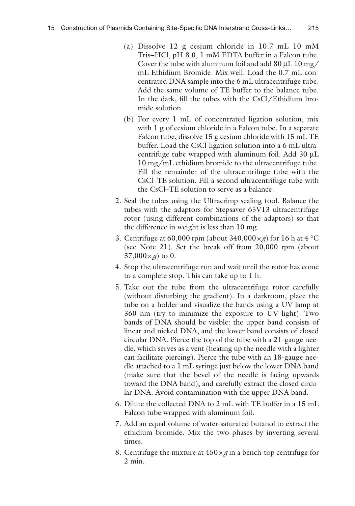- (a) Dissolve 12 g cesium chloride in 10.7 mL 10 mM Tris–HCl, pH 8.0, 1 mM EDTA buffer in a Falcon tube. Cover the tube with aluminum foil and add 80 μL 10 mg/ mL Ethidium Bromide. Mix well. Load the 0.7 mL concentrated DNA sample into the 6 mL ultracentrifuge tube. Add the same volume of TE buffer to the balance tube. In the dark, fill the tubes with the CsCl/Ethidium bromide solution.
- (b) For every 1 mL of concentrated ligation solution, mix with 1 g of cesium chloride in a Falcon tube. In a separate Falcon tube, dissolve 15 g cesium chloride with 15 mL TE buffer. Load the CsCl-ligation solution into a 6 mL ultracentrifuge tube wrapped with aluminum foil. Add 30 μL 10 mg/mL ethidium bromide to the ultracentrifuge tube. Fill the remainder of the ultracentrifuge tube with the CsCl–TE solution. Fill a second ultracentrifuge tube with the CsCl–TE solution to serve as a balance.
- 2. Seal the tubes using the Ultracrimp sealing tool. Balance the tubes with the adaptors for Stepsaver 65V13 ultracentrifuge rotor (using different combinations of the adaptors) so that the difference in weight is less than 10 mg.
- 3. Centrifuge at 60,000 rpm (about  $340,000 \times g$ ) for 16 h at 4 °C (see Note 21). Set the break off from 20,000 rpm (about  $37,000 \times g$  to 0.
- 4. Stop the ultracentrifuge run and wait until the rotor has come to a complete stop. This can take up to 1 h.
- 5. Take out the tube from the ultracentrifuge rotor carefully (without disturbing the gradient). In a darkroom, place the tube on a holder and visualize the bands using a UV lamp at 360 nm (try to minimize the exposure to UV light). Two bands of DNA should be visible: the upper band consists of linear and nicked DNA, and the lower band consists of closed circular DNA. Pierce the top of the tube with a 21-gauge needle, which serves as a vent (heating up the needle with a lighter can facilitate piercing). Pierce the tube with an 18-gauge needle attached to a 1 mL syringe just below the lower DNA band (make sure that the bevel of the needle is facing upwards toward the DNA band), and carefully extract the closed circular DNA. Avoid contamination with the upper DNA band.
- 6. Dilute the collected DNA to 2 mL with TE buffer in a 15 mL Falcon tube wrapped with aluminum foil.
- 7. Add an equal volume of water-saturated butanol to extract the ethidium bromide. Mix the two phases by inverting several times.
- 8. Centrifuge the mixture at  $450 \times g$  in a bench-top centrifuge for 2 min.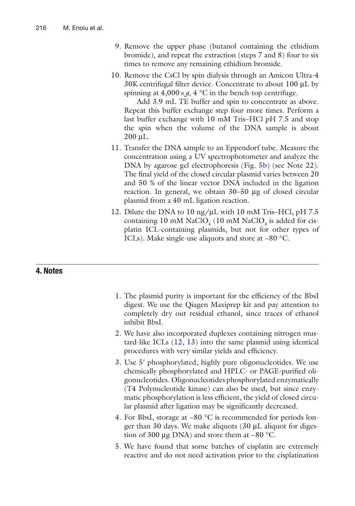- 9. Remove the upper phase (butanol containing the ethidium bromide), and repeat the extraction (steps 7 and 8) four to six times to remove any remaining ethidium bromide.
- 10. Remove the CsCl by spin dialysis through an Amicon Ultra-4 30K centrifugal filter device. Concentrate to about 100 µL by spinning at  $4,000 \times g$ ,  $4^{\circ}$ C in the bench-top centrifuge.

Add 3.9 mL TE buffer and spin to concentrate as above. Repeat this buffer exchange step four more times. Perform a last buffer exchange with 10 mM Tris–HCl pH 7.5 and stop the spin when the volume of the DNA sample is about 200 μL.

- 11. Transfer the DNA sample to an Eppendorf tube. Measure the concentration using a UV spectrophotometer and analyze the DNA by agarose gel electrophoresis (Fig. [5b\)](#page-11-0) (see Note 22). The final yield of the closed circular plasmid varies between 20 and 50 % of the linear vector DNA included in the ligation reaction. In general, we obtain 30–50 μg of closed circular plasmid from a 40 mL ligation reaction.
- 12. Dilute the DNA to 10 ng/ $\mu$ L with 10 mM Tris–HCl, pH 7.5 containing  $10 \text{ mM NaClO}_4$  (10 mM NaClO<sub>4</sub> is added for cisplatin ICL-containing plasmids, but not for other types of ICLs). Make single-use aliquots and store at −80 °C.

# **4. Notes**

- 1. The plasmid purity is important for the efficiency of the BbsI digest. We use the Qiagen Maxiprep kit and pay attention to completely dry out residual ethanol, since traces of ethanol inhibit BbsI.
- 2. We have also incorporated duplexes containing nitrogen mustard-like ICLs  $(12, 13)$  into the same plasmid using identical procedures with very similar yields and efficiency.
- 3. Use 5' phosphorylated, highly pure oligonucleotides. We use chemically phosphorylated and HPLC- or PAGE-purified oligonucleotides. Oligonucleotides phosphorylated enzymatically (T4 Polynucleotide kinase) can also be used, but since enzymatic phosphorylation is less efficient, the yield of closed circular plasmid after ligation may be significantly decreased.
- 4. For BbsI, storage at −80 °C is recommended for periods longer than 30 days. We make aliquots (30 μL aliquot for digestion of 300 μg DNA) and store them at −80 °C.
- 5. We have found that some batches of cisplatin are extremely reactive and do not need activation prior to the cisplatination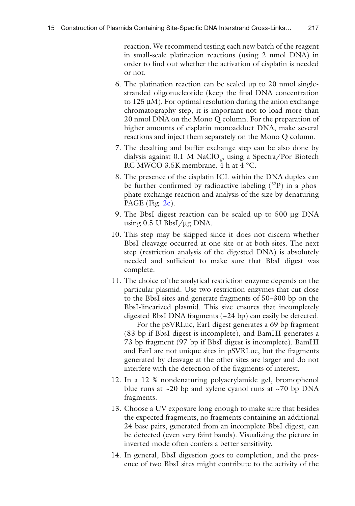reaction. We recommend testing each new batch of the reagent in small-scale platination reactions (using 2 nmol DNA) in order to find out whether the activation of cisplatin is needed or not.

- 6. The platination reaction can be scaled up to 20 nmol singlestranded oligonucleotide (keep the final DNA concentration to 125 μM). For optimal resolution during the anion exchange chromatography step, it is important not to load more than 20 nmol DNA on the Mono Q column. For the preparation of higher amounts of cisplatin monoadduct DNA, make several reactions and inject them separately on the Mono Q column.
- 7. The desalting and buffer exchange step can be also done by dialysis against 0.1 M NaClO<sub>4</sub>, using a Spectra/Por Biotech RC MWCO 3.5K membrane, 4 h at 4 °C.
- 8. The presence of the cisplatin ICL within the DNA duplex can be further confirmed by radioactive labeling  $(^{32}P)$  in a phosphate exchange reaction and analysis of the size by denaturing PAGE (Fig.  $2c$ ).
- 9. The BbsI digest reaction can be scaled up to 500 μg DNA using  $0.5$  U BbsI/ $\mu$ g DNA.
- 10. This step may be skipped since it does not discern whether BbsI cleavage occurred at one site or at both sites. The next step (restriction analysis of the digested DNA) is absolutely needed and sufficient to make sure that BbsI digest was complete.
- 11. The choice of the analytical restriction enzyme depends on the particular plasmid. Use two restriction enzymes that cut close to the BbsI sites and generate fragments of 50–300 bp on the BbsI-linearized plasmid. This size ensures that incompletely digested BbsI DNA fragments (+24 bp) can easily be detected.

For the pSVRLuc, EarI digest generates a 69 bp fragment (83 bp if BbsI digest is incomplete), and BamHI generates a 73 bp fragment (97 bp if BbsI digest is incomplete). BamHI and EarI are not unique sites in pSVRLuc, but the fragments generated by cleavage at the other sites are larger and do not interfere with the detection of the fragments of interest.

- 12. In a 12 % nondenaturing polyacrylamide gel, bromophenol blue runs at  $\sim$ 20 bp and xylene cyanol runs at  $\sim$ 70 bp DNA fragments.
- 13. Choose a UV exposure long enough to make sure that besides the expected fragments, no fragments containing an additional 24 base pairs, generated from an incomplete BbsI digest, can be detected (even very faint bands). Visualizing the picture in inverted mode often confers a better sensitivity.
- 14. In general, BbsI digestion goes to completion, and the presence of two BbsI sites might contribute to the activity of the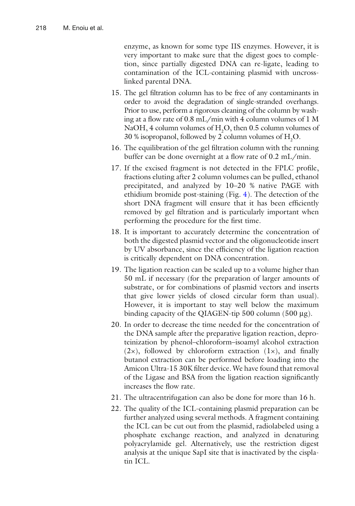enzyme, as known for some type IIS enzymes. However, it is very important to make sure that the digest goes to completion, since partially digested DNA can re-ligate, leading to contamination of the ICL-containing plasmid with uncrosslinked parental DNA.

- 15. The gel filtration column has to be free of any contaminants in order to avoid the degradation of single-stranded overhangs. Prior to use, perform a rigorous cleaning of the column by washing at a flow rate of  $0.8$  mL/min with 4 column volumes of 1 M NaOH, 4 column volumes of  $H_2O$ , then 0.5 column volumes of 30 % isopropanol, followed by 2 column volumes of  $H_2O$ .
- 16. The equilibration of the gel filtration column with the running buffer can be done overnight at a flow rate of  $0.2$  mL/min.
- 17. If the excised fragment is not detected in the FPLC profile, fractions eluting after 2 column volumes can be pulled, ethanol precipitated, and analyzed by 10–20 % native PAGE with ethidium bromide post-staining (Fig. [4\)](#page-9-0). The detection of the short DNA fragment will ensure that it has been efficiently removed by gel filtration and is particularly important when performing the procedure for the first time.
- 18. It is important to accurately determine the concentration of both the digested plasmid vector and the oligonucleotide insert by UV absorbance, since the efficiency of the ligation reaction is critically dependent on DNA concentration.
- 19. The ligation reaction can be scaled up to a volume higher than 50 mL if necessary (for the preparation of larger amounts of substrate, or for combinations of plasmid vectors and inserts that give lower yields of closed circular form than usual). However, it is important to stay well below the maximum binding capacity of the QIAGEN-tip 500 column (500 μg).
- 20. In order to decrease the time needed for the concentration of the DNA sample after the preparative ligation reaction, deproteinization by phenol–chloroform–isoamyl alcohol extraction  $(2x)$ , followed by chloroform extraction  $(1x)$ , and finally butanol extraction can be performed before loading into the Amicon Ultra-15 30K filter device. We have found that removal of the Ligase and BSA from the ligation reaction significantly increases the flow rate.
- 21. The ultracentrifugation can also be done for more than 16 h.
- 22. The quality of the ICL-containing plasmid preparation can be further analyzed using several methods. A fragment containing the ICL can be cut out from the plasmid, radiolabeled using a phosphate exchange reaction, and analyzed in denaturing polyacrylamide gel. Alternatively, use the restriction digest analysis at the unique SapI site that is inactivated by the cisplatin ICL.